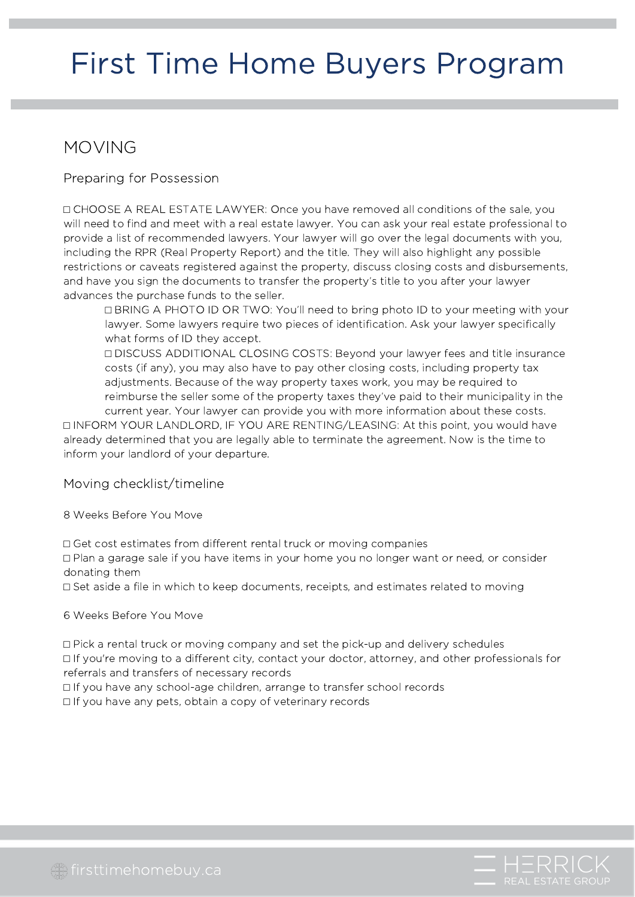#### MOVING

Preparing for Possession

⬜ CHOOSE A REAL ESTATE LAWYER: Once you have removed all conditions of the sale, you will need to find and meet with a real estate lawyer. You can ask your real estate professional to provide a list of recommended lawyers. Your lawyer will go over the legal documents with you, including the RPR (Real Property Report) and the title. They will also highlight any possible restrictions or caveats registered against the property, discuss closing costs and disbursements, and have you sign the documents to transfer the property's title to you after your lawyer advances the purchase funds to the seller.

⬜ BRING A PHOTO ID OR TWO: You'll need to bring photo ID to your meeting with your lawyer. Some lawyers require two pieces of identification. Ask your lawyer specifically what forms of ID they accept.

⬜ DISCUSS ADDITIONAL CLOSING COSTS: Beyond your lawyer fees and title insurance costs (if any), you may also have to pay other closing costs, including property tax adjustments. Because of the way property taxes work, you may be required to reimburse the seller some of the property taxes they've paid to their municipality in the current year. Your lawyer can provide you with more information about these costs.

⬜ INFORM YOUR LANDLORD, IF YOU ARE RENTING/LEASING: At this point, you would have already determined that you are legally able to terminate the agreement. Now is the time to inform your landlord of your departure.

Moving checklist/timeline

8 Weeks Before You Move

⬜ Get cost estimates from different rental truck or moving companies

⬜ Plan a garage sale if you have items in your home you no longer want or need, or consider donating them

⬜ Set aside a file in which to keep documents, receipts, and estimates related to moving

6 Weeks Before You Move

⬜ Pick a rental truck or moving company and set the pick-up and delivery schedules ⬜ If you're moving to a different city, contact your doctor, attorney, and other professionals for referrals and transfers of necessary records

⬜ If you have any school-age children, arrange to transfer school records

□ If you have any pets, obtain a copy of veterinary records

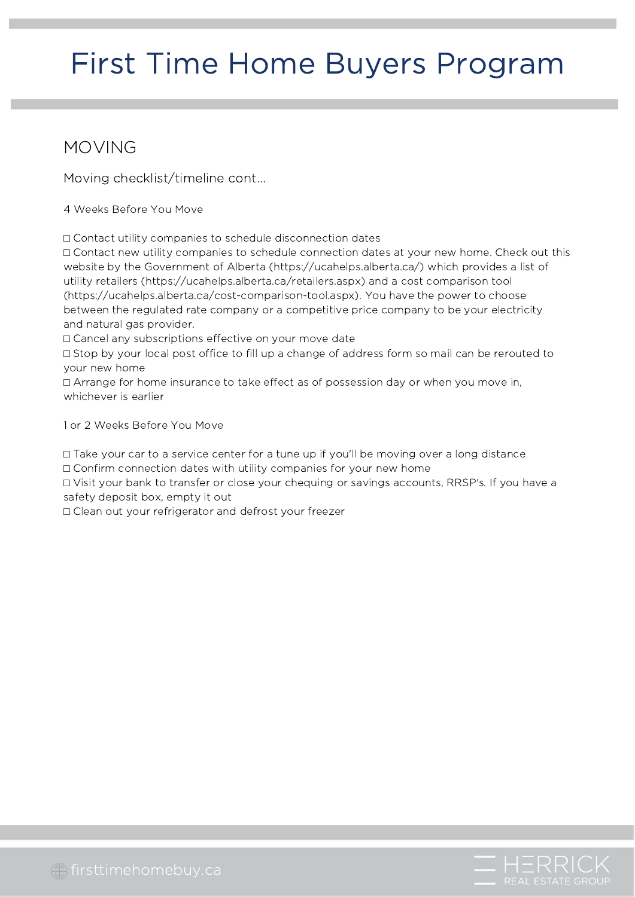#### MOVING

Moving checklist/timeline cont...

4 Weeks Before You Move

⬜ Contact utility companies to schedule disconnection dates

⬜ Contact new utility companies to schedule connection dates at your new home. Check out this website by the Government of Alberta (https://ucahelps.alberta.ca/) which provides a list of utility retailers (https://ucahelps.alberta.ca/retailers.aspx) and a cost comparison tool (https://ucahelps.alberta.ca/cost-comparison-tool.aspx). You have the power to choose between the regulated rate company or a competitive price company to be your electricity and natural gas provider.

□ Cancel any subscriptions effective on your move date

⬜ Stop by your local post office to fill up a change of address form so mail can be rerouted to your new home

⬜ Arrange for home insurance to take effect as of possession day or when you move in, whichever is earlier

1 or 2 Weeks Before You Move

⬜ Take your car to a service center for a tune up if you'll be moving over a long distance □ Confirm connection dates with utility companies for your new home

⬜ Visit your bank to transfer or close your chequing or savings accounts, RRSP's. If you have a safety deposit box, empty it out

□ Clean out your refrigerator and defrost your freezer

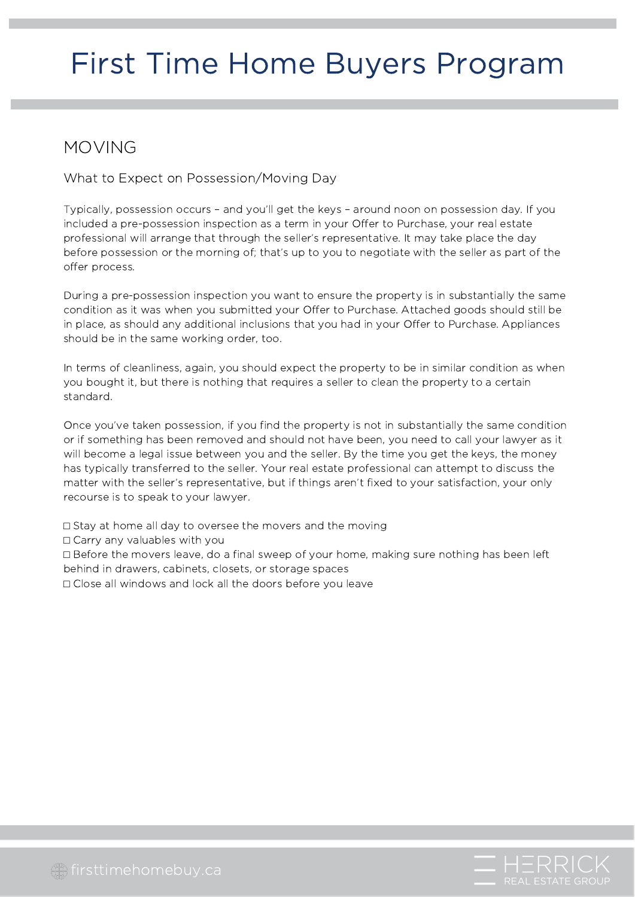#### MOVING

What to Expect on Possession/Moving Day

Typically, possession occurs – and you'll get the keys – around noon on possession day. If you included a pre-possession inspection as a term in your Offer to Purchase, your real estate professional will arrange that through the seller's representative. It may take place the day before possession or the morning of; that's up to you to negotiate with the seller as part of the offer process.

During a pre-possession inspection you want to ensure the property is in substantially the same condition as it was when you submitted your Offer to Purchase. Attached goods should still be in place, as should any additional inclusions that you had in your Offer to Purchase. Appliances should be in the same working order, too.

In terms of cleanliness, again, you should expect the property to be in similar condition as when you bought it, but there is nothing that requires a seller to clean the property to a certain standard.

Once you've taken possession, if you find the property is not in substantially the same condition or if something has been removed and should not have been, you need to call your lawyer as it will become a legal issue between you and the seller. By the time you get the keys, the money has typically transferred to the seller. Your real estate professional can attempt to discuss the matter with the seller's representative, but if things aren't fixed to your satisfaction, your only recourse is to speak to your lawyer.

⬜ Stay at home all day to oversee the movers and the moving

□ Carry any valuables with you

⬜ Before the movers leave, do a final sweep of your home, making sure nothing has been left behind in drawers, cabinets, closets, or storage spaces

⬜ Close all windows and lock all the doors before you leave